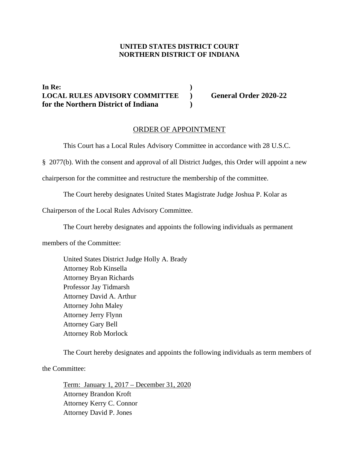## **UNITED STATES DISTRICT COURT NORTHERN DISTRICT OF INDIANA**

**In Re: ) LOCAL RULES ADVISORY COMMITTEE ) General Order 2020-22 for the Northern District of Indiana )**

## ORDER OF APPOINTMENT

This Court has a Local Rules Advisory Committee in accordance with 28 U.S.C.

§ 2077(b). With the consent and approval of all District Judges, this Order will appoint a new

chairperson for the committee and restructure the membership of the committee.

The Court hereby designates United States Magistrate Judge Joshua P. Kolar as

Chairperson of the Local Rules Advisory Committee.

The Court hereby designates and appoints the following individuals as permanent

members of the Committee:

United States District Judge Holly A. Brady Attorney Rob Kinsella Attorney Bryan Richards Professor Jay Tidmarsh Attorney David A. Arthur Attorney John Maley Attorney Jerry Flynn Attorney Gary Bell Attorney Rob Morlock

The Court hereby designates and appoints the following individuals as term members of

the Committee:

Term: January 1, 2017 – December 31, 2020 Attorney Brandon Kroft Attorney Kerry C. Connor Attorney David P. Jones